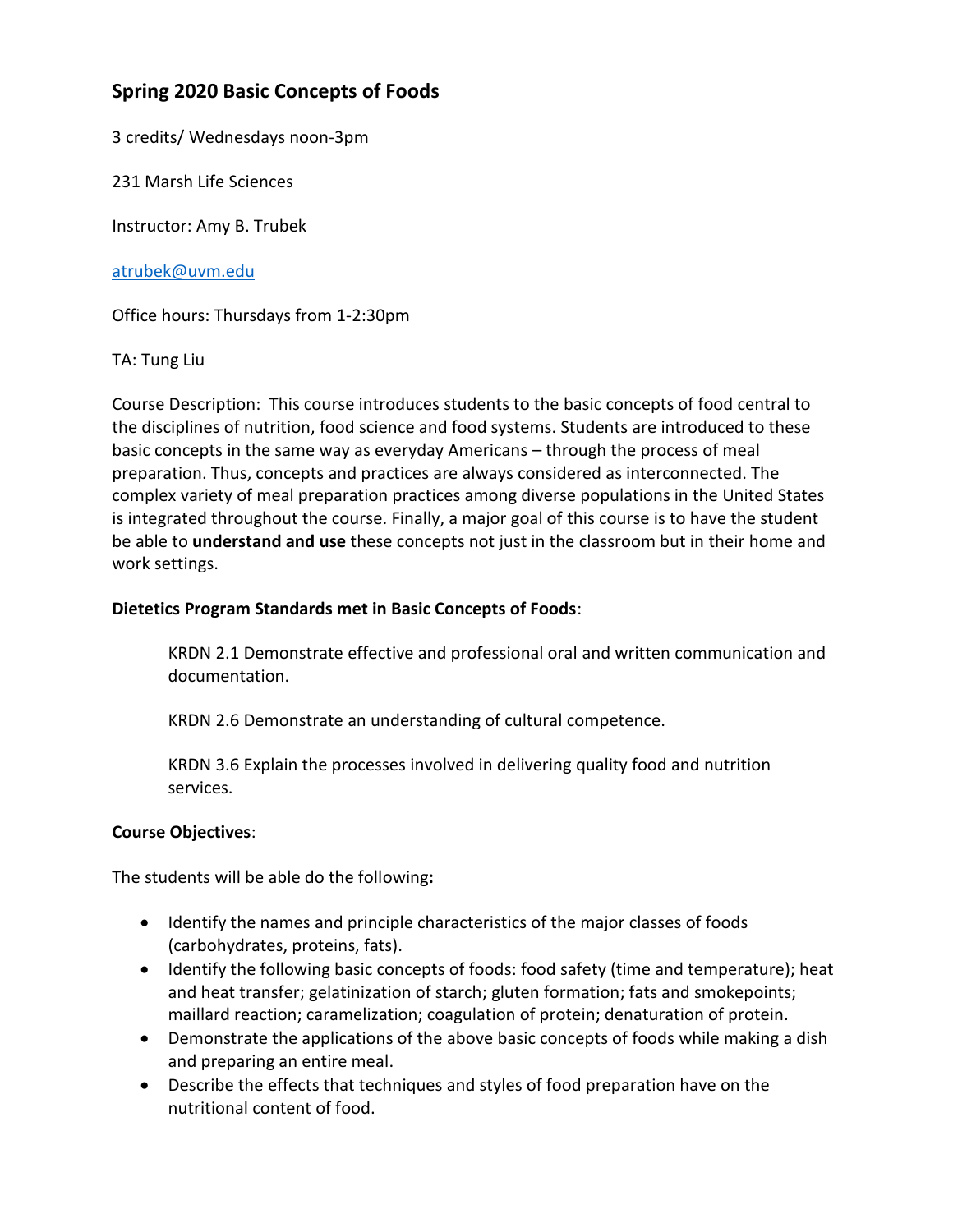# **Spring 2020 Basic Concepts of Foods**

3 credits/ Wednesdays noon-3pm

231 Marsh Life Sciences

Instructor: Amy B. Trubek

[atrubek@uvm.edu](mailto:atrubek@uvm.edu)

Office hours: Thursdays from 1-2:30pm

#### TA: Tung Liu

Course Description: This course introduces students to the basic concepts of food central to the disciplines of nutrition, food science and food systems. Students are introduced to these basic concepts in the same way as everyday Americans – through the process of meal preparation. Thus, concepts and practices are always considered as interconnected. The complex variety of meal preparation practices among diverse populations in the United States is integrated throughout the course. Finally, a major goal of this course is to have the student be able to **understand and use** these concepts not just in the classroom but in their home and work settings.

#### **Dietetics Program Standards met in Basic Concepts of Foods**:

KRDN 2.1 Demonstrate effective and professional oral and written communication and documentation.

KRDN 2.6 Demonstrate an understanding of cultural competence.

KRDN 3.6 Explain the processes involved in delivering quality food and nutrition services.

#### **Course Objectives**:

The students will be able do the following**:**

- Identify the names and principle characteristics of the major classes of foods (carbohydrates, proteins, fats).
- Identify the following basic concepts of foods: food safety (time and temperature); heat and heat transfer; gelatinization of starch; gluten formation; fats and smokepoints; maillard reaction; caramelization; coagulation of protein; denaturation of protein.
- Demonstrate the applications of the above basic concepts of foods while making a dish and preparing an entire meal.
- Describe the effects that techniques and styles of food preparation have on the nutritional content of food.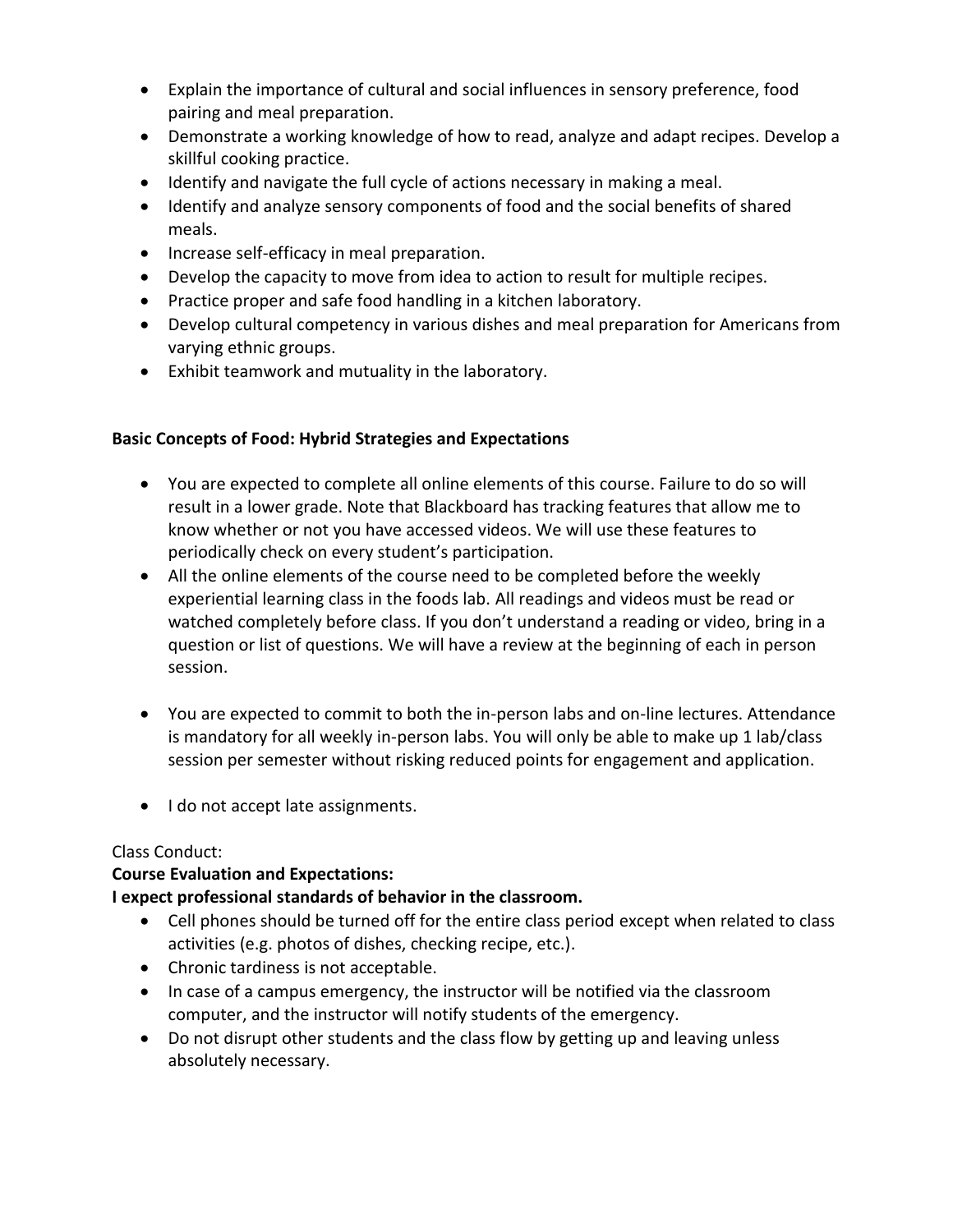- Explain the importance of cultural and social influences in sensory preference, food pairing and meal preparation.
- Demonstrate a working knowledge of how to read, analyze and adapt recipes. Develop a skillful cooking practice.
- Identify and navigate the full cycle of actions necessary in making a meal.
- Identify and analyze sensory components of food and the social benefits of shared meals.
- Increase self-efficacy in meal preparation.
- Develop the capacity to move from idea to action to result for multiple recipes.
- Practice proper and safe food handling in a kitchen laboratory.
- Develop cultural competency in various dishes and meal preparation for Americans from varying ethnic groups.
- Exhibit teamwork and mutuality in the laboratory.

#### **Basic Concepts of Food: Hybrid Strategies and Expectations**

- You are expected to complete all online elements of this course. Failure to do so will result in a lower grade. Note that Blackboard has tracking features that allow me to know whether or not you have accessed videos. We will use these features to periodically check on every student's participation.
- All the online elements of the course need to be completed before the weekly experiential learning class in the foods lab. All readings and videos must be read or watched completely before class. If you don't understand a reading or video, bring in a question or list of questions. We will have a review at the beginning of each in person session.
- You are expected to commit to both the in-person labs and on-line lectures. Attendance is mandatory for all weekly in-person labs. You will only be able to make up 1 lab/class session per semester without risking reduced points for engagement and application.
- I do not accept late assignments.

# Class Conduct:

# **Course Evaluation and Expectations:**

# **I expect professional standards of behavior in the classroom.**

- Cell phones should be turned off for the entire class period except when related to class activities (e.g. photos of dishes, checking recipe, etc.).
- Chronic tardiness is not acceptable.
- In case of a campus emergency, the instructor will be notified via the classroom computer, and the instructor will notify students of the emergency.
- Do not disrupt other students and the class flow by getting up and leaving unless absolutely necessary.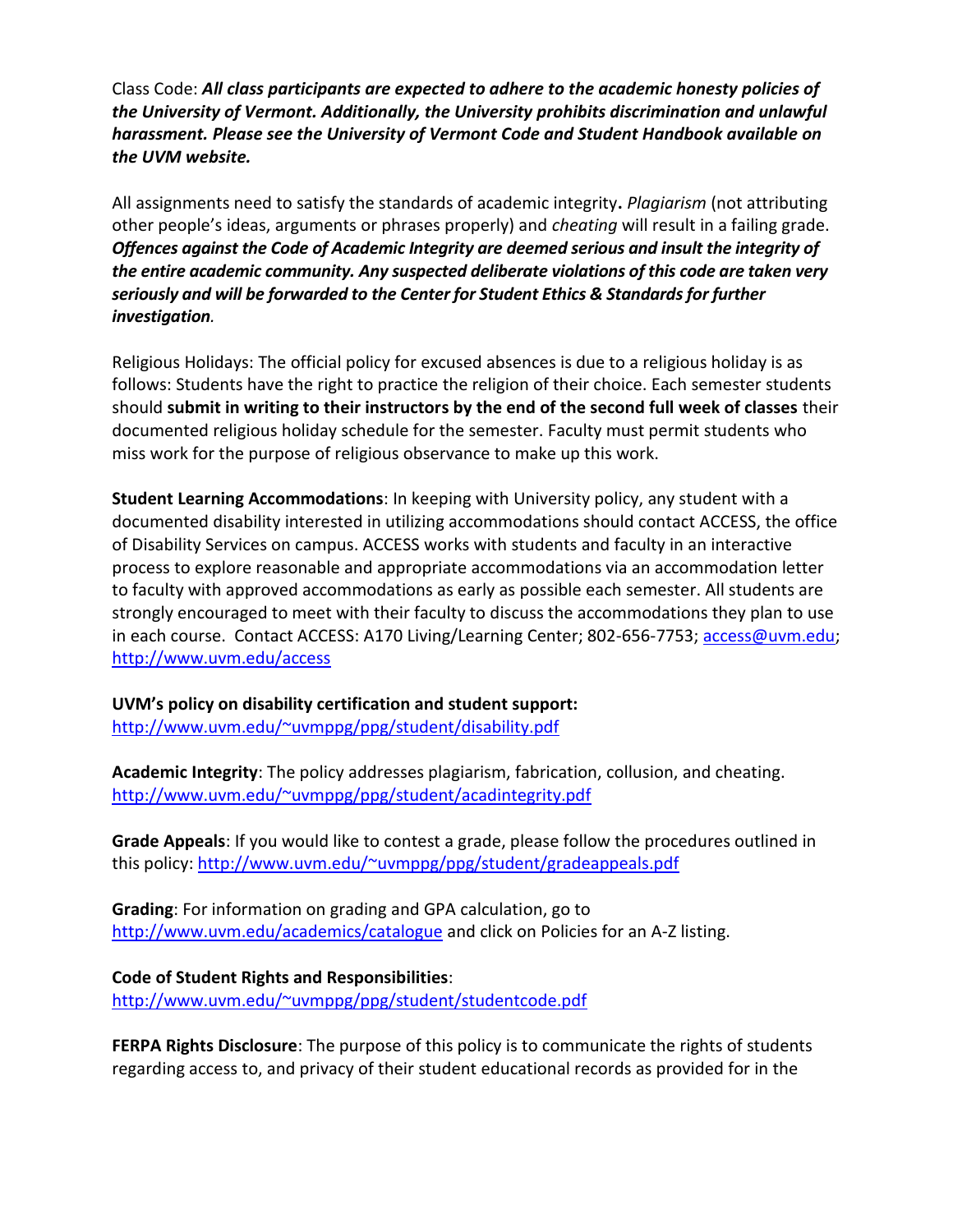Class Code: *All class participants are expected to adhere to the academic honesty policies of the University of Vermont. Additionally, the University prohibits discrimination and unlawful harassment. Please see the University of Vermont Code and Student Handbook available on the UVM website.*

All assignments need to satisfy the standards of academic integrity**.** *Plagiarism* (not attributing other people's ideas, arguments or phrases properly) and *cheating* will result in a failing grade. *Offences against the Code of Academic Integrity are deemed serious and insult the integrity of the entire academic community. Any suspected deliberate violations of this code are taken very seriously and will be forwarded to the Center for Student Ethics & Standards for further investigation.*

Religious Holidays: The official policy for excused absences is due to a religious holiday is as follows: Students have the right to practice the religion of their choice. Each semester students should **submit in writing to their instructors by the end of the second full week of classes** their documented religious holiday schedule for the semester. Faculty must permit students who miss work for the purpose of religious observance to make up this work.

**Student Learning Accommodations**: In keeping with University policy, any student with a documented disability interested in utilizing accommodations should contact ACCESS, the office of Disability Services on campus. ACCESS works with students and faculty in an interactive process to explore reasonable and appropriate accommodations via an accommodation letter to faculty with approved accommodations as early as possible each semester. All students are strongly encouraged to meet with their faculty to discuss the accommodations they plan to use in each course. Contact ACCESS: A170 Living/Learning Center; 802-656-7753; [access@uvm.edu;](mailto:access@uvm.edu) <http://www.uvm.edu/access>

**UVM's policy on disability certification and student support:**

<http://www.uvm.edu/~uvmppg/ppg/student/disability.pdf>

**Academic Integrity**: The policy addresses plagiarism, fabrication, collusion, and cheating. <http://www.uvm.edu/~uvmppg/ppg/student/acadintegrity.pdf>

**Grade Appeals**: If you would like to contest a grade, please follow the procedures outlined in this policy:<http://www.uvm.edu/~uvmppg/ppg/student/gradeappeals.pdf>

**Grading**: For information on grading and GPA calculation, go to <http://www.uvm.edu/academics/catalogue> and click on Policies for an A-Z listing.

**Code of Student Rights and Responsibilities**: <http://www.uvm.edu/~uvmppg/ppg/student/studentcode.pdf>

**FERPA Rights Disclosure**: The purpose of this policy is to communicate the rights of students regarding access to, and privacy of their student educational records as provided for in the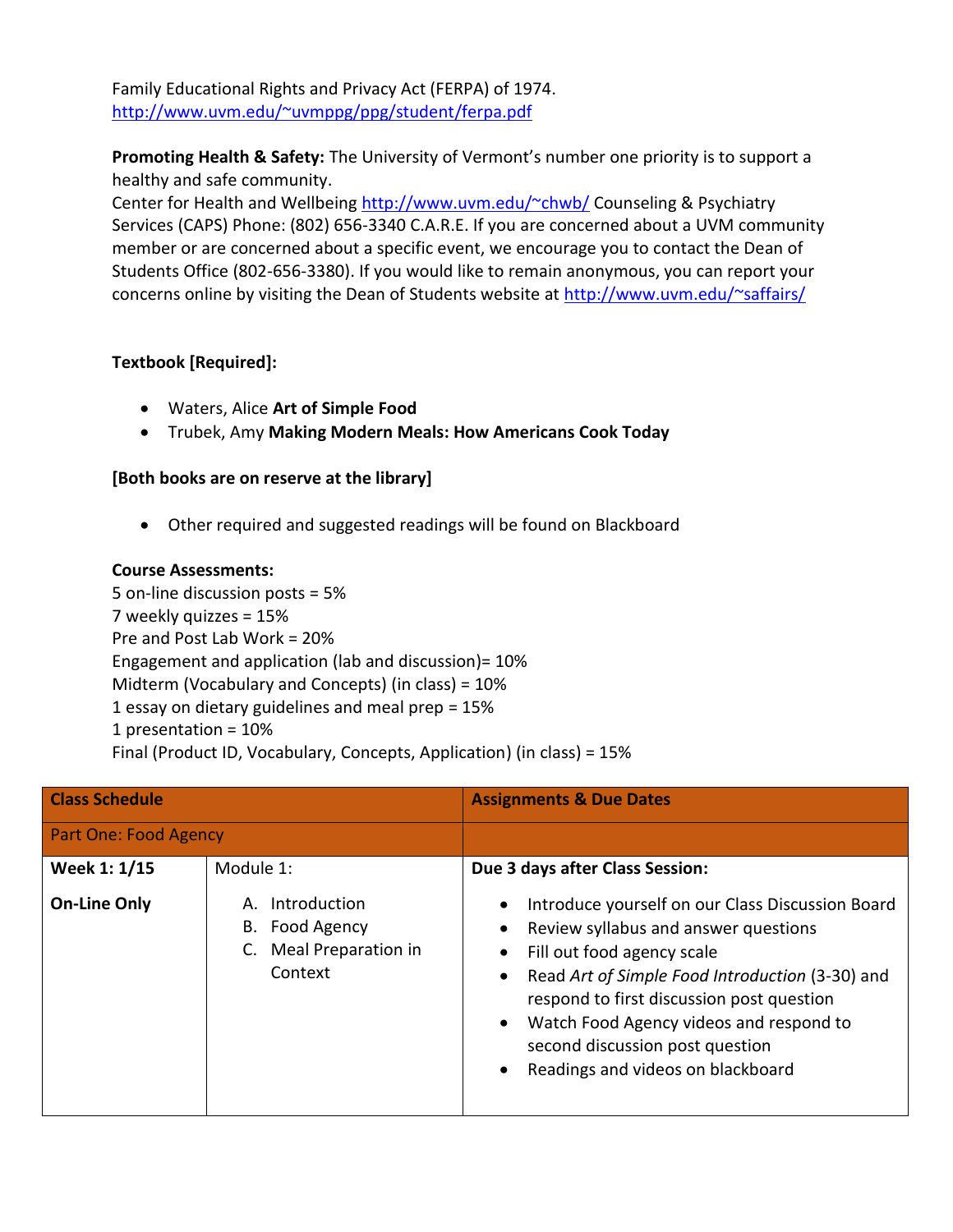Family Educational Rights and Privacy Act (FERPA) of 1974. <http://www.uvm.edu/~uvmppg/ppg/student/ferpa.pdf>

**Promoting Health & Safety:** The University of Vermont's number one priority is to support a healthy and safe community.

Center for Health and Wellbeing<http://www.uvm.edu/~chwb/> Counseling & Psychiatry Services (CAPS) Phone: (802) 656-3340 C.A.R.E. If you are concerned about a UVM community member or are concerned about a specific event, we encourage you to contact the Dean of Students Office (802-656-3380). If you would like to remain anonymous, you can report your concerns online by visiting the Dean of Students website at<http://www.uvm.edu/~saffairs/>

# **Textbook [Required]:**

- Waters, Alice **Art of Simple Food**
- Trubek, Amy **Making Modern Meals: How Americans Cook Today**

# **[Both books are on reserve at the library]**

Other required and suggested readings will be found on Blackboard

#### **Course Assessments:**

5 on-line discussion posts = 5% 7 weekly quizzes = 15% Pre and Post Lab Work = 20% Engagement and application (lab and discussion)= 10% Midterm (Vocabulary and Concepts) (in class) = 10% 1 essay on dietary guidelines and meal prep = 15% 1 presentation = 10% Final (Product ID, Vocabulary, Concepts, Application) (in class) = 15%

| <b>Class Schedule</b><br><b>Part One: Food Agency</b> |                                                                           | <b>Assignments &amp; Due Dates</b>                                                                                                                                                                                                                                                                                                        |
|-------------------------------------------------------|---------------------------------------------------------------------------|-------------------------------------------------------------------------------------------------------------------------------------------------------------------------------------------------------------------------------------------------------------------------------------------------------------------------------------------|
|                                                       |                                                                           |                                                                                                                                                                                                                                                                                                                                           |
| Week 1: 1/15                                          | Module 1:                                                                 | Due 3 days after Class Session:                                                                                                                                                                                                                                                                                                           |
| <b>On-Line Only</b>                                   | Introduction<br>А.<br>Food Agency<br>В.<br>Meal Preparation in<br>Context | Introduce yourself on our Class Discussion Board<br>Review syllabus and answer questions<br>Fill out food agency scale<br>Read Art of Simple Food Introduction (3-30) and<br>respond to first discussion post question<br>Watch Food Agency videos and respond to<br>second discussion post question<br>Readings and videos on blackboard |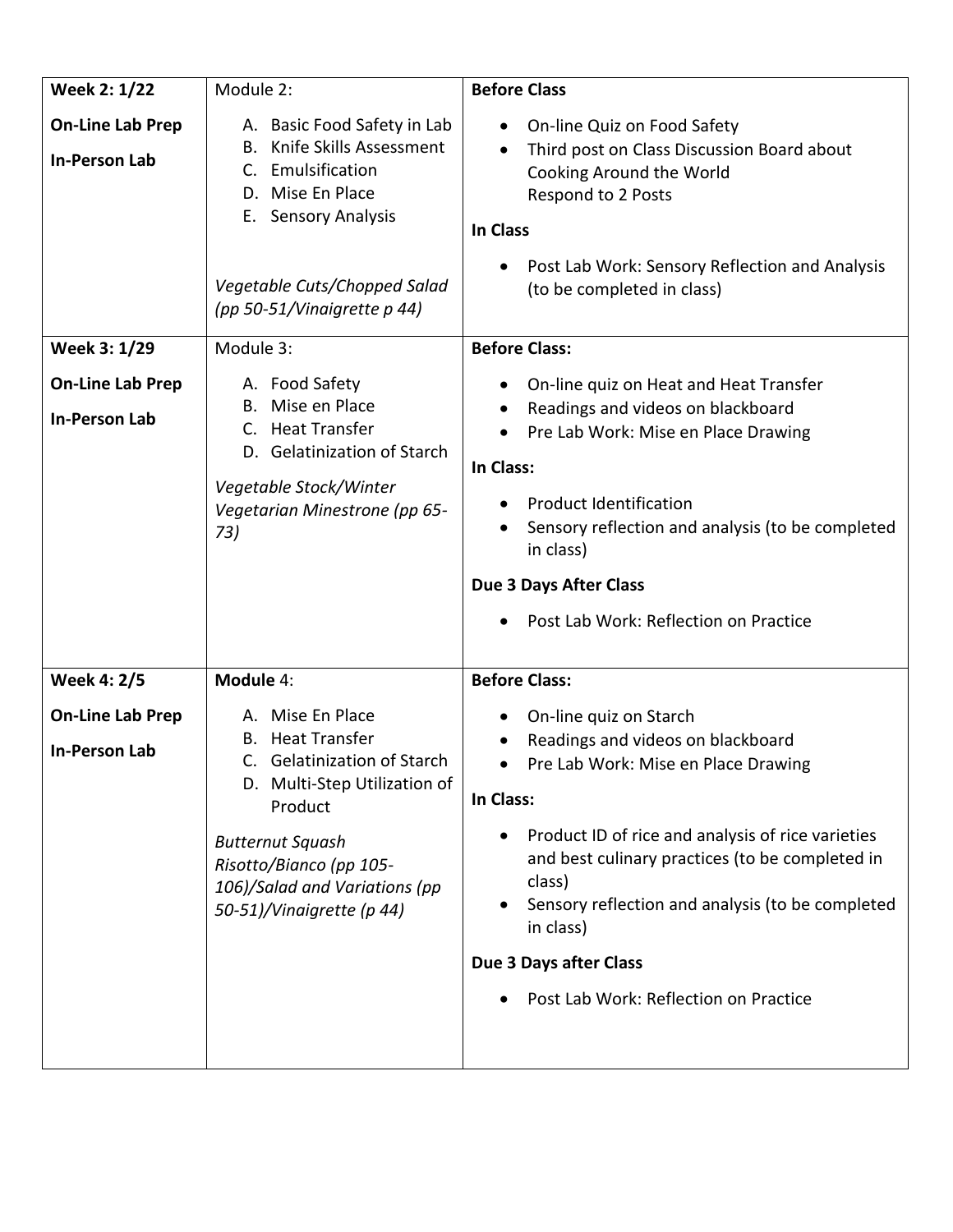| <b>Week 2: 1/22</b>                             | Module 2:                                                                                                                                                                                                                                        | <b>Before Class</b>                                                                                                                                                                                                                                                                                                                                                                |
|-------------------------------------------------|--------------------------------------------------------------------------------------------------------------------------------------------------------------------------------------------------------------------------------------------------|------------------------------------------------------------------------------------------------------------------------------------------------------------------------------------------------------------------------------------------------------------------------------------------------------------------------------------------------------------------------------------|
| <b>On-Line Lab Prep</b><br>In-Person Lab        | A. Basic Food Safety in Lab<br>Knife Skills Assessment<br>В.<br>Emulsification<br>C.<br>D. Mise En Place<br>E. Sensory Analysis<br>Vegetable Cuts/Chopped Salad<br>(pp 50-51/Vinaigrette p 44)                                                   | On-line Quiz on Food Safety<br>$\bullet$<br>Third post on Class Discussion Board about<br>Cooking Around the World<br>Respond to 2 Posts<br><b>In Class</b><br>Post Lab Work: Sensory Reflection and Analysis<br>(to be completed in class)                                                                                                                                        |
|                                                 |                                                                                                                                                                                                                                                  |                                                                                                                                                                                                                                                                                                                                                                                    |
| Week 3: 1/29                                    | Module 3:                                                                                                                                                                                                                                        | <b>Before Class:</b>                                                                                                                                                                                                                                                                                                                                                               |
| <b>On-Line Lab Prep</b><br><b>In-Person Lab</b> | A. Food Safety<br>Mise en Place<br>B.<br>C. Heat Transfer<br>D. Gelatinization of Starch<br>Vegetable Stock/Winter<br>Vegetarian Minestrone (pp 65-<br>73)                                                                                       | On-line quiz on Heat and Heat Transfer<br>Readings and videos on blackboard<br>Pre Lab Work: Mise en Place Drawing<br>In Class:<br><b>Product Identification</b><br>Sensory reflection and analysis (to be completed<br>in class)<br><b>Due 3 Days After Class</b><br>Post Lab Work: Reflection on Practice                                                                        |
| <b>Week 4: 2/5</b>                              | Module 4:                                                                                                                                                                                                                                        | <b>Before Class:</b>                                                                                                                                                                                                                                                                                                                                                               |
| <b>On-Line Lab Prep</b><br><b>In-Person Lab</b> | A. Mise En Place<br><b>Heat Transfer</b><br><b>Gelatinization of Starch</b><br>C.<br>D. Multi-Step Utilization of<br>Product<br><b>Butternut Squash</b><br>Risotto/Bianco (pp 105-<br>106)/Salad and Variations (pp<br>50-51)/Vinaigrette (p 44) | On-line quiz on Starch<br>Readings and videos on blackboard<br>Pre Lab Work: Mise en Place Drawing<br>$\bullet$<br>In Class:<br>Product ID of rice and analysis of rice varieties<br>and best culinary practices (to be completed in<br>class)<br>Sensory reflection and analysis (to be completed<br>in class)<br>Due 3 Days after Class<br>Post Lab Work: Reflection on Practice |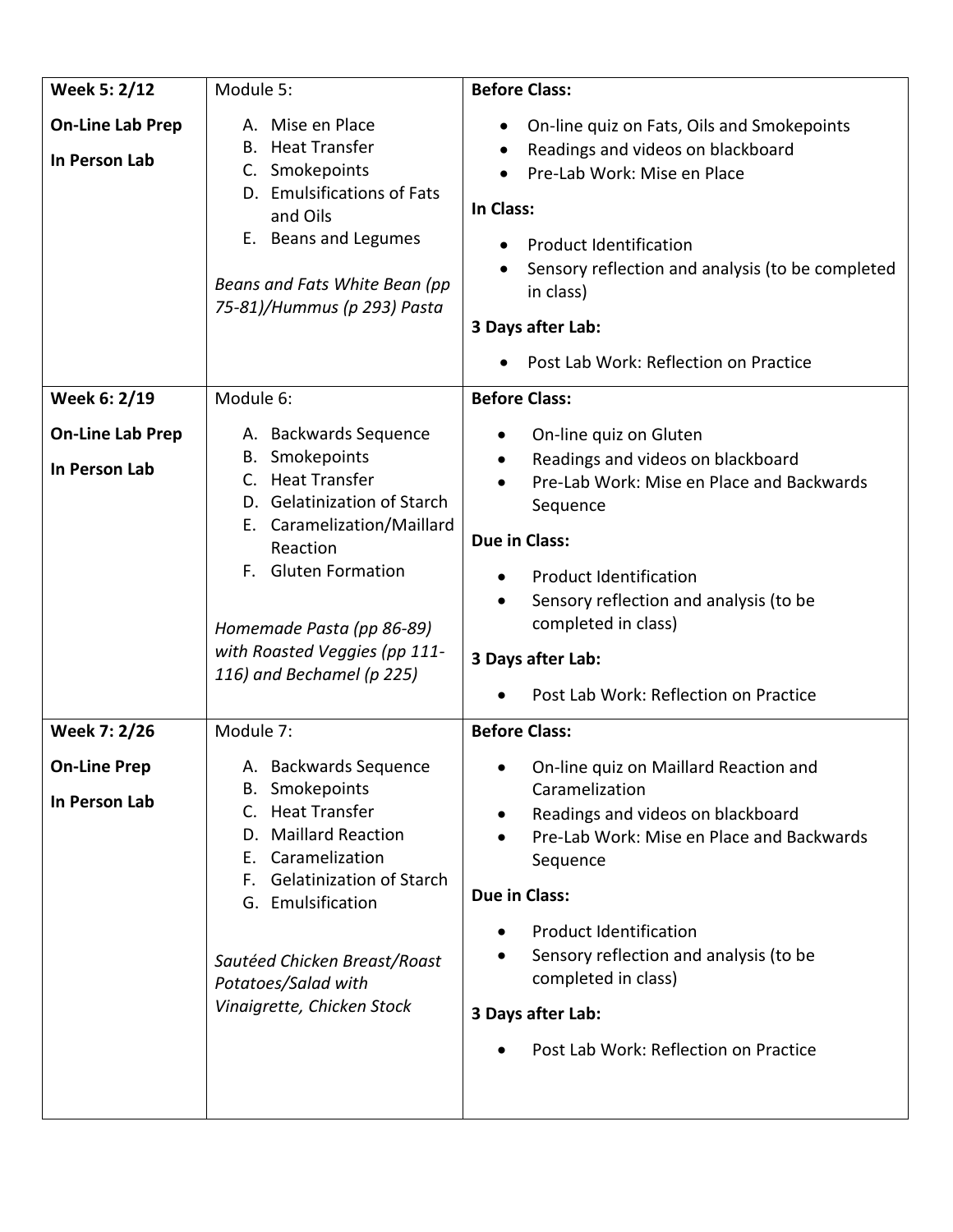| Week 5: 2/12                             | Module 5:                                                                                                                                                                                                                                                                     | <b>Before Class:</b>                                                                                                                                                                                                                                                                                                                   |
|------------------------------------------|-------------------------------------------------------------------------------------------------------------------------------------------------------------------------------------------------------------------------------------------------------------------------------|----------------------------------------------------------------------------------------------------------------------------------------------------------------------------------------------------------------------------------------------------------------------------------------------------------------------------------------|
| <b>On-Line Lab Prep</b><br>In Person Lab | A. Mise en Place<br><b>Heat Transfer</b><br>В.<br>C. Smokepoints<br>D. Emulsifications of Fats<br>and Oils<br>E. Beans and Legumes<br>Beans and Fats White Bean (pp<br>75-81)/Hummus (p 293) Pasta                                                                            | On-line quiz on Fats, Oils and Smokepoints<br>Readings and videos on blackboard<br>Pre-Lab Work: Mise en Place<br>In Class:<br><b>Product Identification</b><br>Sensory reflection and analysis (to be completed<br>in class)<br>3 Days after Lab:                                                                                     |
|                                          |                                                                                                                                                                                                                                                                               | Post Lab Work: Reflection on Practice                                                                                                                                                                                                                                                                                                  |
| Week 6: 2/19                             | Module 6:                                                                                                                                                                                                                                                                     | <b>Before Class:</b>                                                                                                                                                                                                                                                                                                                   |
| <b>On-Line Lab Prep</b><br>In Person Lab | A. Backwards Sequence<br>Smokepoints<br>В.<br><b>Heat Transfer</b><br>C.<br><b>Gelatinization of Starch</b><br>D.<br>E. Caramelization/Maillard<br>Reaction<br>F. Gluten Formation<br>Homemade Pasta (pp 86-89)<br>with Roasted Veggies (pp 111-<br>116) and Bechamel (p 225) | On-line quiz on Gluten<br>$\bullet$<br>Readings and videos on blackboard<br>Pre-Lab Work: Mise en Place and Backwards<br>Sequence<br>Due in Class:<br><b>Product Identification</b><br>Sensory reflection and analysis (to be<br>$\bullet$<br>completed in class)<br>3 Days after Lab:<br>Post Lab Work: Reflection on Practice        |
| Week 7: 2/26                             | Module 7:                                                                                                                                                                                                                                                                     | <b>Before Class:</b>                                                                                                                                                                                                                                                                                                                   |
| <b>On-Line Prep</b><br>In Person Lab     | A. Backwards Sequence<br><b>B.</b> Smokepoints<br>C. Heat Transfer<br><b>Maillard Reaction</b><br>D.<br>Caramelization<br>Е.<br><b>Gelatinization of Starch</b><br>G. Emulsification<br>Sautéed Chicken Breast/Roast<br>Potatoes/Salad with<br>Vinaigrette, Chicken Stock     | On-line quiz on Maillard Reaction and<br>Caramelization<br>Readings and videos on blackboard<br>Pre-Lab Work: Mise en Place and Backwards<br>Sequence<br>Due in Class:<br><b>Product Identification</b><br>Sensory reflection and analysis (to be<br>completed in class)<br>3 Days after Lab:<br>Post Lab Work: Reflection on Practice |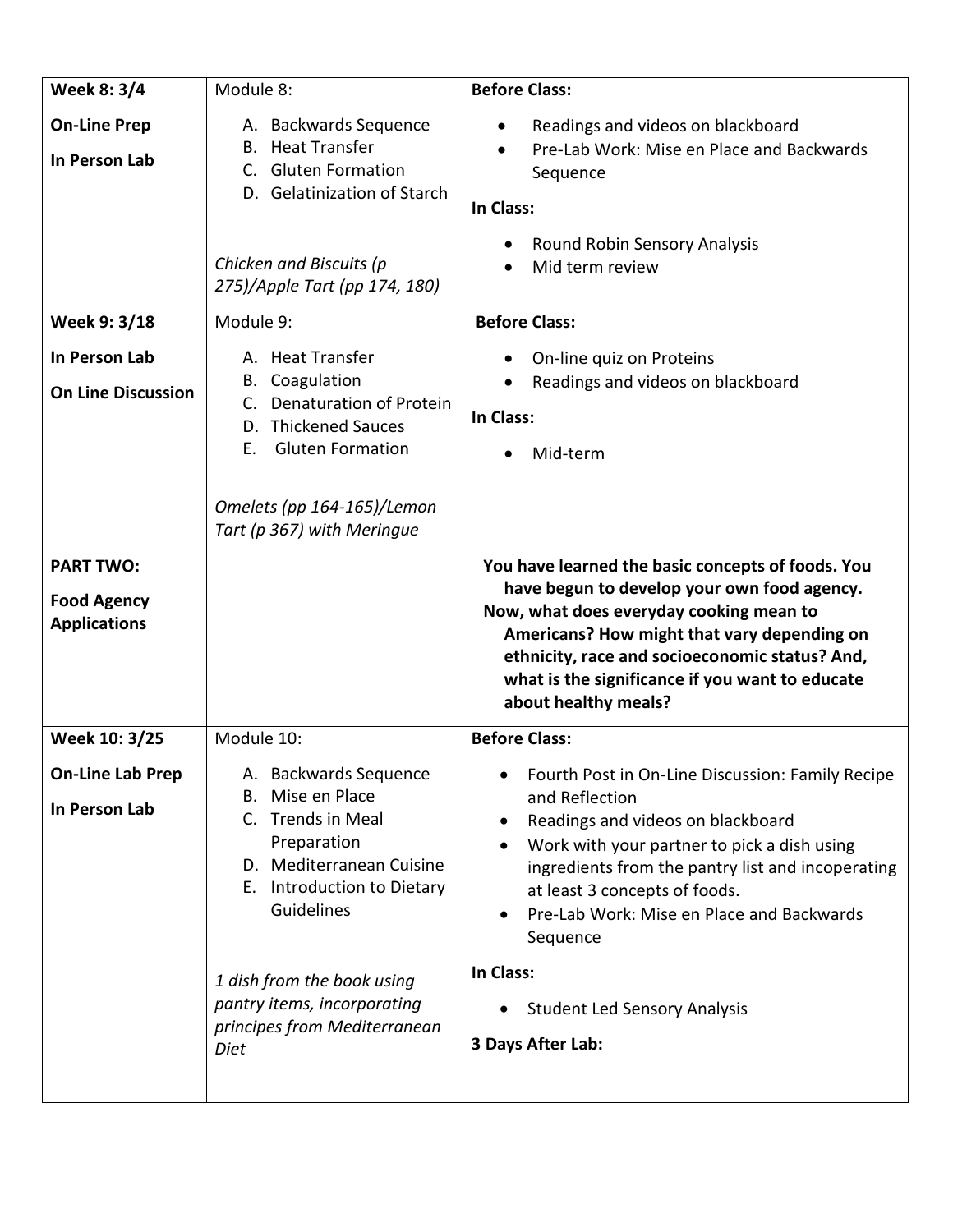| Week 8: 3/4                                                   | Module 8:                                                                                                                                                                                             | <b>Before Class:</b>                                                                                                                                                                                                                                                                                                    |
|---------------------------------------------------------------|-------------------------------------------------------------------------------------------------------------------------------------------------------------------------------------------------------|-------------------------------------------------------------------------------------------------------------------------------------------------------------------------------------------------------------------------------------------------------------------------------------------------------------------------|
| <b>On-Line Prep</b><br>In Person Lab                          | A. Backwards Sequence<br><b>Heat Transfer</b><br>В.<br><b>Gluten Formation</b><br>$C_{\cdot}$<br>D. Gelatinization of Starch<br>Chicken and Biscuits (p<br>275)/Apple Tart (pp 174, 180)              | Readings and videos on blackboard<br>Pre-Lab Work: Mise en Place and Backwards<br>Sequence<br>In Class:<br>Round Robin Sensory Analysis<br>Mid term review                                                                                                                                                              |
| Week 9: 3/18                                                  | Module 9:                                                                                                                                                                                             | <b>Before Class:</b>                                                                                                                                                                                                                                                                                                    |
| In Person Lab<br><b>On Line Discussion</b>                    | A. Heat Transfer<br>Coagulation<br>В.<br><b>Denaturation of Protein</b><br><b>Thickened Sauces</b><br>D.<br><b>Gluten Formation</b><br>Е.<br>Omelets (pp 164-165)/Lemon<br>Tart (p 367) with Meringue | On-line quiz on Proteins<br>Readings and videos on blackboard<br>In Class:<br>Mid-term                                                                                                                                                                                                                                  |
| <b>PART TWO:</b><br><b>Food Agency</b><br><b>Applications</b> |                                                                                                                                                                                                       | You have learned the basic concepts of foods. You<br>have begun to develop your own food agency.<br>Now, what does everyday cooking mean to<br>Americans? How might that vary depending on<br>ethnicity, race and socioeconomic status? And,<br>what is the significance if you want to educate<br>about healthy meals? |
| Week 10: 3/25                                                 | Module 10:                                                                                                                                                                                            | <b>Before Class:</b>                                                                                                                                                                                                                                                                                                    |
| <b>On-Line Lab Prep</b><br>In Person Lab                      | A. Backwards Sequence<br>Mise en Place<br>В.<br>C. Trends in Meal<br>Preparation<br>D. Mediterranean Cuisine<br>E. Introduction to Dietary<br>Guidelines                                              | Fourth Post in On-Line Discussion: Family Recipe<br>and Reflection<br>Readings and videos on blackboard<br>Work with your partner to pick a dish using<br>ingredients from the pantry list and incoperating<br>at least 3 concepts of foods.<br>Pre-Lab Work: Mise en Place and Backwards<br>Sequence                   |
|                                                               | 1 dish from the book using<br>pantry items, incorporating<br>principes from Mediterranean<br>Diet                                                                                                     | In Class:<br><b>Student Led Sensory Analysis</b><br>3 Days After Lab:                                                                                                                                                                                                                                                   |